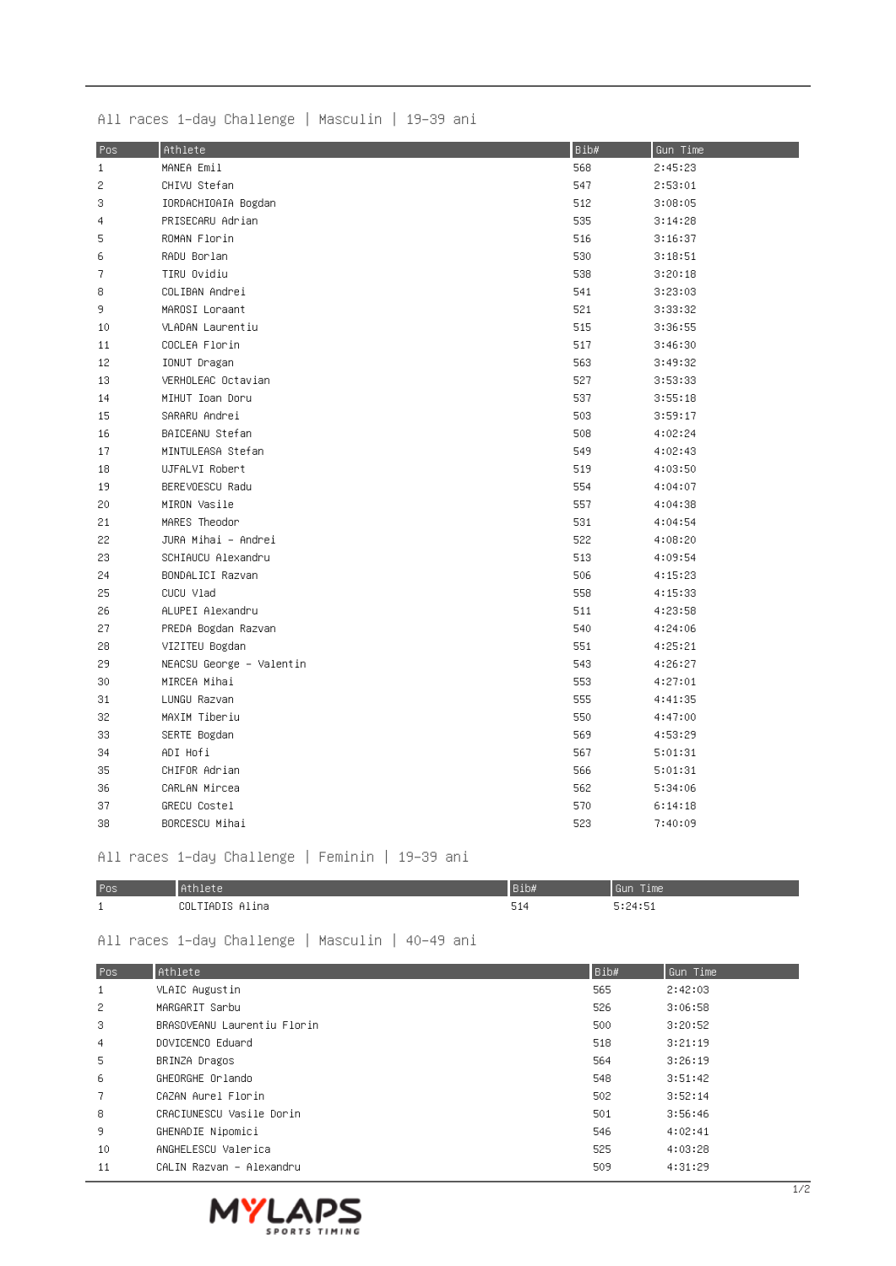|  | All races 1–day Challenge   Masculin   19–39 ani |  |
|--|--------------------------------------------------|--|
|--|--------------------------------------------------|--|

| Pos          | Athlete                  | Bib# | Gun Time |
|--------------|--------------------------|------|----------|
| $\mathbf{1}$ | MANEA Emil               | 568  | 2:45:23  |
| 2            | CHIVU Stefan             | 547  | 2:53:01  |
| 3            | IORDACHIOAIA Bogdan      | 512  | 3:08:05  |
| 4            | PRISECARU Adrian         | 535  | 3:14:28  |
| 5            | ROMAN Florin             | 516  | 3:16:37  |
| 6            | RADU Borlan              | 530  | 3:18:51  |
| 7            | TIRU Ovidiu              | 538  | 3:20:18  |
| 8            | COLIBAN Andrei           | 541  | 3:23:03  |
| 9.           | MAROSI Loraant           | 521  | 3:33:32  |
| 10           | VLADAN Laurentiu         | 515  | 3:36:55  |
| 11           | COCLEA Florin            | 517  | 3:46:30  |
| 12           | IONUT Dragan             | 563  | 3:49:32  |
| 13           | VERHOLEAC Octavian       | 527  | 3:53:33  |
| 14           | MIHUT Ioan Doru          | 537  | 3:55:18  |
| 15           | SARARU Andrei            | 503  | 3:59:17  |
| 16           | BAICEANU Stefan          | 508  | 4:02:24  |
| 17           | MINTULEASA Stefan        | 549  | 4:02:43  |
| 18           | UJFALVI Robert           | 519  | 4:03:50  |
| 19           | BEREVOESCU Radu          | 554  | 4:04:07  |
| 20           | MIRON Vasile             | 557  | 4:04:38  |
| 21           | MARES Theodor            | 531  | 4:04:54  |
| 22           | JURA Mihai – Andrei      | 522  | 4:08:20  |
| 23           | SCHIAUCU Alexandru       | 513  | 4:09:54  |
| 24           | BONDALICI Razvan         | 506  | 4:15:23  |
| 25           | CUCU Vlad                | 558  | 4:15:33  |
| 26           | ALUPEI Alexandru         | 511  | 4:23:58  |
| 27           | PREDA Bogdan Razvan      | 540  | 4:24:06  |
| 28           | VIZITEU Bogdan           | 551  | 4:25:21  |
| 29           | NEACSU George - Valentin | 543  | 4:26:27  |
| 30           | MIRCEA Mihai             | 553  | 4:27:01  |
| 31           | LUNGU Razvan             | 555  | 4:41:35  |
| 32           | MAXIM Tiberiu            | 550  | 4:47:00  |
| 33           | SERTE Bogdan             | 569  | 4:53:29  |
| 34           | ADI Hofi                 | 567  | 5:01:31  |
| 35           | CHIFOR Adrian            | 566  | 5:01:31  |
| 36           | CARLAN Mircea            | 562  | 5:34:06  |
| 37           | GRECU Costel             | 570  | 6:14:18  |
| 38           | BORCESCU Mihai           | 523  | 7:40:09  |

## All races 1-day Challenge | Feminin | 19-39 ani

| Pos      |                      | ,,,,, | Time<br>l Guni |
|----------|----------------------|-------|----------------|
| <b>.</b> | COLTIADIS<br>≏lina – | 514   | 5:24:51        |

## All races 1-day Challenge | Masculin | 40-49 ani

| Pos.           | Athlete                     | Bib# | Gun Time |
|----------------|-----------------------------|------|----------|
| $\mathbf{1}$   | VLAIC Augustin              | 565  | 2:42:03  |
| 2              | MARGARIT Sarbu              | 526  | 3:06:58  |
| 3              | BRASOVEANU Laurentiu Florin | 500  | 3:20:52  |
| $\overline{4}$ | DOVICENCO Eduard            | 518  | 3:21:19  |
| 5.             | BRINZA Dragos               | 564  | 3:26:19  |
| 6              | GHEORGHE Orlando            | 548  | 3:51:42  |
| 7 <sup>1</sup> | CAZAN Aurel Florin          | 502  | 3:52:14  |
| 8              | CRACIUNESCU Vasile Dorin    | 501  | 3:56:46  |
| -9             | GHENADIE Nipomici           | 546  | 4:02:41  |
| 10             | ANGHELESCU Valerica         | 525  | 4:03:28  |
| 11             | CALIN Razvan – Alexandru    | 509  | 4:31:29  |